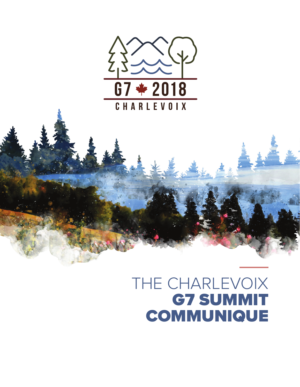

# THE CHARLEVOIX G7 SUMMIT COMMUNIQUE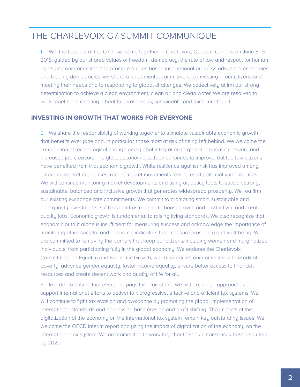# THE CHARLEVOIX G7 SUMMIT COMMUNIQUE

1. We, the Leaders of the G7, have come together in Charlevoix, Quebec, Canada on June 8–9, 2018, guided by our shared values of freedom, democracy, the rule of law and respect for human rights and our commitment to promote a rules-based international order. As advanced economies and leading democracies, we share a fundamental commitment to investing in our citizens and meeting their needs and to responding to global challenges. We collectively affirm our strong determination to achieve a clean environment, clean air and clean water. We are resolved to work together in creating a healthy, prosperous, sustainable and fair future for all.

#### **INVESTING IN GROWTH THAT WORKS FOR EVERYONE**

2. We share the responsibility of working together to stimulate sustainable economic growth that benefits everyone and, in particular, those most at risk of being left behind. We welcome the contribution of technological change and global integration to global economic recovery and increased job creation. The global economic outlook continues to improve, but too few citizens have benefited from that economic growth. While resilience against risk has improved among emerging market economies, recent market movements remind us of potential vulnerabilities. We will continue monitoring market developments and using all policy tools to support strong, sustainable, balanced and inclusive growth that generates widespread prosperity. We reaffirm our existing exchange rate commitments. We commit to promoting smart, sustainable and high-quality investments, such as in infrastructure, to boost growth and productivity and create quality jobs. Economic growth is fundamental to raising living standards. We also recognize that economic output alone is insufficient for measuring success and acknowledge the importance of monitoring other societal and economic indicators that measure prosperity and well-being. We are committed to removing the barriers that keep our citizens, including women and marginalized individuals, from participating fully in the global economy. We endorse the Charlevoix Commitment on Equality and Economic Growth, which reinforces our commitment to eradicate poverty, advance gender equality, foster income equality, ensure better access to financial resources and create decent work and quality of life for all.

3. In order to ensure that everyone pays their fair share, we will exchange approaches and support international efforts to deliver fair, progressive, effective and efficient tax systems. We will continue to fight tax evasion and avoidance by promoting the global implementation of international standards and addressing base erosion and profit shifting. The impacts of the digitalization of the economy on the international tax system remain key outstanding issues. We welcome the OECD interim report analyzing the impact of digitalization of the economy on the international tax system. We are committed to work together to seek a consensus-based solution by 2020.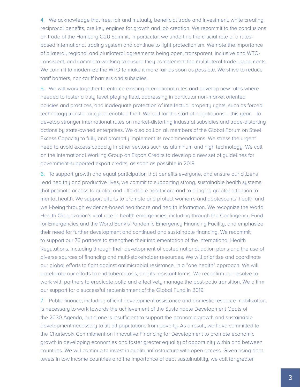4. We acknowledge that free, fair and mutually beneficial trade and investment, while creating reciprocal benefits, are key engines for growth and job creation. We recommit to the conclusions on trade of the Hamburg G20 Summit, in particular, we underline the crucial role of a rulesbased international trading system and continue to fight protectionism. We note the importance of bilateral, regional and plurilateral agreements being open, transparent, inclusive and WTOconsistent, and commit to working to ensure they complement the multilateral trade agreements. We commit to modernize the WTO to make it more fair as soon as possible. We strive to reduce tariff barriers, non-tariff barriers and subsidies.

5. We will work together to enforce existing international rules and develop new rules where needed to foster a truly level playing field, addressing in particular non-market oriented policies and practices, and inadequate protection of intellectual property rights, such as forced technology transfer or cyber-enabled theft. We call for the start of negotiations – this year – to develop stronger international rules on market-distorting industrial subsidies and trade-distorting actions by state-owned enterprises. We also call on all members of the Global Forum on Steel Excess Capacity to fully and promptly implement its recommendations. We stress the urgent need to avoid excess capacity in other sectors such as aluminum and high technology. We call on the International Working Group on Export Credits to develop a new set of guidelines for government-supported export credits, as soon as possible in 2019.

6. To support growth and equal participation that benefits everyone, and ensure our citizens lead healthy and productive lives, we commit to supporting strong, sustainable health systems that promote access to quality and affordable healthcare and to bringing greater attention to mental health. We support efforts to promote and protect women's and adolescents' health and well-being through evidence-based healthcare and health information. We recognize the World Health Organization's vital role in health emergencies, including through the Contingency Fund for Emergencies and the World Bank's Pandemic Emergency Financing Facility, and emphasize their need for further development and continued and sustainable financing. We recommit to support our 76 partners to strengthen their implementation of the International Health Regulations, including through their development of costed national action plans and the use of diverse sources of financing and multi-stakeholder resources. We will prioritize and coordinate our global efforts to fight against antimicrobial resistance, in a "one health" approach. We will accelerate our efforts to end tuberculosis, and its resistant forms. We reconfirm our resolve to work with partners to eradicate polio and effectively manage the post-polio transition. We affirm our support for a successful replenishment of the Global Fund in 2019.

7. Public finance, including official development assistance and domestic resource mobilization, is necessary to work towards the achievement of the Sustainable Development Goals of the 2030 Agenda, but alone is insufficient to support the economic growth and sustainable development necessary to lift all populations from poverty. As a result, we have committed to the Charlevoix Commitment on Innovative Financing for Development to promote economic growth in developing economies and foster greater equality of opportunity within and between countries. We will continue to invest in quality infrastructure with open access. Given rising debt levels in low income countries and the importance of debt sustainability, we call for greater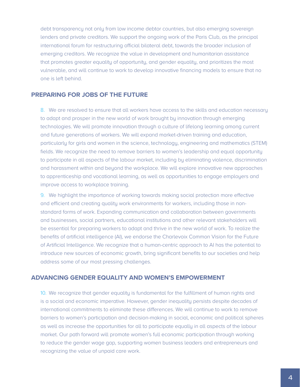debt transparency not only from low income debtor countries, but also emerging sovereign lenders and private creditors. We support the ongoing work of the Paris Club, as the principal international forum for restructuring official bilateral debt, towards the broader inclusion of emerging creditors. We recognize the value in development and humanitarian assistance that promotes greater equality of opportunity, and gender equality, and prioritizes the most vulnerable, and will continue to work to develop innovative financing models to ensure that no one is left behind.

## **PREPARING FOR JOBS OF THE FUTURE**

8. We are resolved to ensure that all workers have access to the skills and education necessary to adapt and prosper in the new world of work brought by innovation through emerging technologies. We will promote innovation through a culture of lifelong learning among current and future generations of workers. We will expand market-driven training and education, particularly for girls and women in the science, technology, engineering and mathematics (STEM) fields. We recognize the need to remove barriers to women's leadership and equal opportunity to participate in all aspects of the labour market, including by eliminating violence, discrimination and harassment within and beyond the workplace. We will explore innovative new approaches to apprenticeship and vocational learning, as well as opportunities to engage employers and improve access to workplace training.

9. We highlight the importance of working towards making social protection more effective and efficient and creating quality work environments for workers, including those in nonstandard forms of work. Expanding communication and collaboration between governments and businesses, social partners, educational institutions and other relevant stakeholders will be essential for preparing workers to adapt and thrive in the new world of work. To realize the benefits of artificial intelligence (AI), we endorse the Charlevoix Common Vision for the Future of Artificial Intelligence. We recognize that a human-centric approach to AI has the potential to introduce new sources of economic growth, bring significant benefits to our societies and help address some of our most pressing challenges.

#### **ADVANCING GENDER EQUALITY AND WOMEN'S EMPOWERMENT**

10. We recognize that gender equality is fundamental for the fulfillment of human rights and is a social and economic imperative. However, gender inequality persists despite decades of international commitments to eliminate these differences. We will continue to work to remove barriers to women's participation and decision-making in social, economic and political spheres as well as increase the opportunities for all to participate equally in all aspects of the labour market. Our path forward will promote women's full economic participation through working to reduce the gender wage gap, supporting women business leaders and entrepreneurs and recognizing the value of unpaid care work.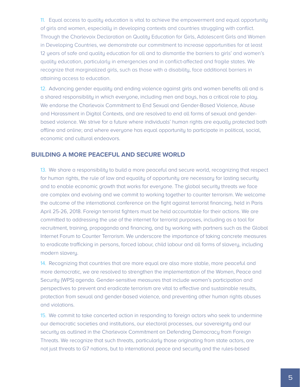11. Equal access to quality education is vital to achieve the empowerment and equal opportunity of girls and women, especially in developing contexts and countries struggling with conflict. Through the Charlevoix Declaration on Quality Education for Girls, Adolescent Girls and Women in Developing Countries, we demonstrate our commitment to increase opportunities for at least 12 years of safe and quality education for all and to dismantle the barriers to girls' and women's quality education, particularly in emergencies and in conflict-affected and fragile states. We recognize that marginalized girls, such as those with a disability, face additional barriers in attaining access to education.

12. Advancing gender equality and ending violence against girls and women benefits all and is a shared responsibility in which everyone, including men and boys, has a critical role to play. We endorse the Charlevoix Commitment to End Sexual and Gender-Based Violence, Abuse and Harassment in Digital Contexts, and are resolved to end all forms of sexual and genderbased violence. We strive for a future where individuals' human rights are equally protected both offline and online; and where everyone has equal opportunity to participate in political, social, economic and cultural endeavors.

## **BUILDING A MORE PEACEFUL AND SECURE WORLD**

13. We share a responsibility to build a more peaceful and secure world, recognizing that respect for human rights, the rule of law and equality of opportunity are necessary for lasting security and to enable economic growth that works for everyone. The global security threats we face are complex and evolving and we commit to working together to counter terrorism. We welcome the outcome of the international conference on the fight against terrorist financing, held in Paris April 25-26, 2018. Foreign terrorist fighters must be held accountable for their actions. We are committed to addressing the use of the internet for terrorist purposes, including as a tool for recruitment, training, propaganda and financing, and by working with partners such as the Global Internet Forum to Counter Terrorism. We underscore the importance of taking concrete measures to eradicate trafficking in persons, forced labour, child labour and all forms of slavery, including modern slavery.

14. Recognizing that countries that are more equal are also more stable, more peaceful and more democratic, we are resolved to strengthen the implementation of the Women, Peace and Security (WPS) agenda. Gender-sensitive measures that include women's participation and perspectives to prevent and eradicate terrorism are vital to effective and sustainable results, protection from sexual and gender-based violence, and preventing other human rights abuses and violations.

15. We commit to take concerted action in responding to foreign actors who seek to undermine our democratic societies and institutions, our electoral processes, our sovereignty and our security as outlined in the Charlevoix Commitment on Defending Democracy from Foreign Threats. We recognize that such threats, particularly those originating from state actors, are not just threats to G7 nations, but to international peace and security and the rules-based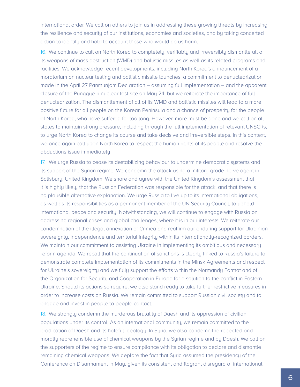international order. We call on others to join us in addressing these growing threats by increasing the resilience and security of our institutions, economies and societies, and by taking concerted action to identify and hold to account those who would do us harm.

16. We continue to call on North Korea to completely, verifiably and irreversibly dismantle all of its weapons of mass destruction (WMD) and ballistic missiles as well as its related programs and facilities. We acknowledge recent developments, including North Korea's announcement of a moratorium on nuclear testing and ballistic missile launches, a commitment to denuclearization made in the April 27 Panmunjom Declaration – assuming full implementation – and the apparent closure of the Punggye-ri nuclear test site on May 24; but we reiterate the importance of full denuclearization. The dismantlement of all of its WMD and ballistic missiles will lead to a more positive future for all people on the Korean Peninsula and a chance of prosperity for the people of North Korea, who have suffered for too long. However, more must be done and we call on all states to maintain strong pressure, including through the full implementation of relevant UNSCRs, to urge North Korea to change its course and take decisive and irreversible steps. In this context, we once again call upon North Korea to respect the human rights of its people and resolve the abductions issue immediately

17. We urge Russia to cease its destabilizing behaviour to undermine democratic systems and its support of the Syrian regime. We condemn the attack using a military-grade nerve agent in Salisbury, United Kingdom. We share and agree with the United Kingdom's assessment that it is highly likely that the Russian Federation was responsible for the attack, and that there is no plausible alternative explanation. We urge Russia to live up to its international obligations, as well as its responsibilities as a permanent member of the UN Security Council, to uphold international peace and security. Notwithstanding, we will continue to engage with Russia on addressing regional crises and global challenges, where it is in our interests. We reiterate our condemnation of the illegal annexation of Crimea and reaffirm our enduring support for Ukrainian sovereignty, independence and territorial integrity within its internationally-recognized borders. We maintain our commitment to assisting Ukraine in implementing its ambitious and necessary reform agenda. We recall that the continuation of sanctions is clearly linked to Russia's failure to demonstrate complete implementation of its commitments in the Minsk Agreements and respect for Ukraine's sovereignty and we fully support the efforts within the Normandy Format and of the Organization for Security and Cooperation in Europe for a solution to the conflict in Eastern Ukraine. Should its actions so require, we also stand ready to take further restrictive measures in order to increase costs on Russia. We remain committed to support Russian civil society and to engage and invest in people-to-people contact.

18. We strongly condemn the murderous brutality of Daesh and its oppression of civilian populations under its control. As an international community, we remain committed to the eradication of Daesh and its hateful ideology. In Syria, we also condemn the repeated and morally reprehensible use of chemical weapons by the Syrian regime and by Daesh. We call on the supporters of the regime to ensure compliance with its obligation to declare and dismantle remaining chemical weapons. We deplore the fact that Syria assumed the presidency of the Conference on Disarmament in May, given its consistent and flagrant disregard of international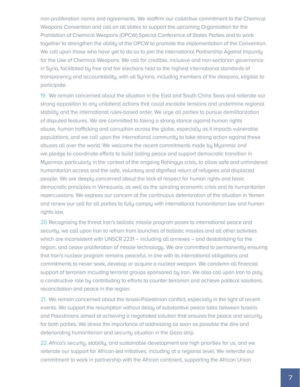non-proliferation norms and agreements. We reaffirm our collective commitment to the Chemical Weapons Convention and call on all states to support the upcoming Organisation for the Prohibition of Chemical Weapons (OPCW) Special Conference of States Parties and to work together to strengthen the ability of the OPCW to promote the implementation of the Convention. We call upon those who have yet to do so to join the International Partnership Against Impunity for the Use of Chemical Weapons. We call for credible, inclusive and non-sectarian governance in Syria, facilitated by free and fair elections held to the highest international standards of transparency and accountability, with all Syrians, including members of the diaspora, eligible to participate.

19. We remain concerned about the situation in the East and South China Seas and reiterate our strong opposition to any unilateral actions that could escalate tensions and undermine regional stability and the international rules-based order. We urge all parties to pursue demilitarization of disputed features. We are committed to taking a strong stance against human rights abuse, human trafficking and corruption across the globe, especially as it impacts vulnerable populations, and we call upon the international community to take strong action against these abuses all over the world. We welcome the recent commitments made by Myanmar and we pledge to coordinate efforts to build lasting peace and support democratic transition in Myanmar, particularly in the context of the ongoing Rohingya crisis, to allow safe and unhindered humanitarian access and the safe, voluntary and dignified return of refugees and displaced people. We are deeply concerned about the lack of respect for human rights and basic democratic principles in Venezuela, as well as the spiraling economic crisis and its humanitarian repercussions. We express our concern at the continuous deterioration of the situation in Yemen and renew our call for all parties to fully comply with international humanitarian law and human rights law.

20. Recognizing the threat Iran's ballistic missile program poses to international peace and security, we call upon Iran to refrain from launches of ballistic missiles and all other activities which are inconsistent with UNSCR 2231 – including all annexes – and destabilizing for the region, and cease proliferation of missile technology. We are committed to permanently ensuring that Iran's nuclear program remains peaceful, in line with its international obligations and commitments to never seek, develop or acquire a nuclear weapon. We condemn all financial support of terrorism including terrorist groups sponsored by Iran. We also call upon Iran to play a constructive role by contributing to efforts to counter terrorism and achieve political solutions, reconciliation and peace in the region.

21. We remain concerned about the Israeli-Palestinian conflict, especially in the light of recent events. We support the resumption without delay of substantive peace talks between Israelis and Palestinians aimed at achieving a negotiated solution that ensures the peace and security for both parties. We stress the importance of addressing as soon as possible the dire and deteriorating humanitarian and security situation in the Gaza strip.

22. Africa's security, stability, and sustainable development are high priorities for us, and we reiterate our support for African-led initiatives, including at a regional level. We reiterate our commitment to work in partnership with the African continent, supporting the African Union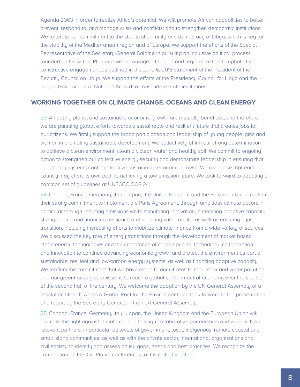Agenda 2063 in order to realize Africa's potential. We will promote African capabilities to better prevent, respond to, and manage crisis and conflicts; and to strengthen democratic institutions. We reiterate our commitment to the stabilization, unity and democracy of Libya, which is key for the stability of the Mediterranean region and of Europe. We support the efforts of the Special Representative of the Secretary-General Salamé in pursuing an inclusive political process founded on his Action Plan and we encourage all Libyan and regional actors to uphold their constructive engagement as outlined in the June 6, 2018 statement of the President of the Security Council on Libya. We support the efforts of the Presidency Council for Libya and the Libyan Government of National Accord to consolidate State institutions.

#### **WORKING TOGETHER ON CLIMATE CHANGE, OCEANS AND CLEAN ENERGY**

23. A healthy planet and sustainable economic growth are mutually beneficial, and therefore, we are pursuing global efforts towards a sustainable and resilient future that creates jobs for our citizens. We firmly support the broad participation and leadership of young people, girls and women in promoting sustainable development. We collectively affirm our strong determination to achieve a clean environment, clean air, clean water and healthy soil. We commit to ongoing action to strengthen our collective energy security and demonstrate leadership in ensuring that our energy systems continue to drive sustainable economic growth. We recognise that each country may chart its own path to achieving a low-emission future. We look forward to adopting a common set of guidelines at UNFCCC COP 24.

24. Canada, France, Germany, Italy, Japan, the United Kingdom and the European Union reaffirm their strong commitment to implement the Paris Agreement, through ambitious climate action; in particular through reducing emissions while stimulating innovation, enhancing adaptive capacity, strengthening and financing resilience and reducing vulnerability; as well as ensuring a just transition, including increasing efforts to mobilize climate finance from a wide variety of sources. We discussed the key role of energy transitions through the development of market based clean energy technologies and the importance of carbon pricing, technology collaboration and innovation to continue advancing economic growth and protect the environment as part of sustainable, resilient and low-carbon energy systems; as well as financing adaptive capacity. We reaffirm the commitment that we have made to our citizens to reduce air and water pollution and our greenhouse gas emissions to reach a global carbon-neutral economy over the course of the second half of the century. We welcome the adoption by the UN General Assembly of a resolution titled Towards a Global Pact for the Environment and look forward to the presentation of a report by the Secretary General in the next General Assembly.

25.Canada, France, Germany, Italy, Japan, the United Kingdom and the European Union will promote the fight against climate change through collaborative partnerships and work with all relevant partners, in particular all levels of government; local, Indigenous, remote coastal and small island communities; as well as with the private sector, international organizations and civil society to identify and assess policy gaps, needs and best practices. We recognize the contribution of the One Planet conferences to this collective effort.